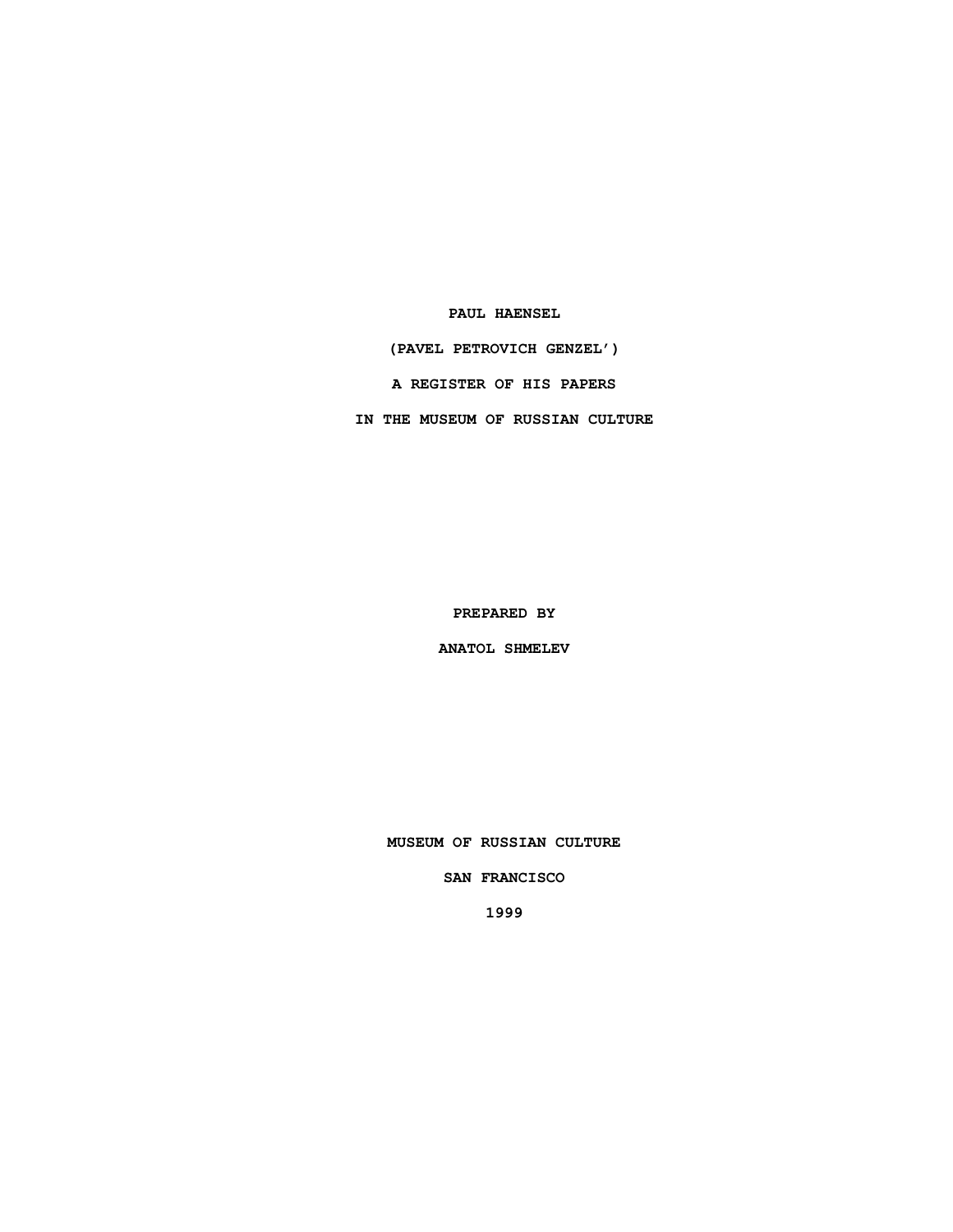**PAUL HAENSEL**

**(PAVEL PETROVICH GENZEL')**

**A REGISTER OF HIS PAPERS**

**IN THE MUSEUM OF RUSSIAN CULTURE**

**PREPARED BY**

**ANATOL SHMELEV**

**MUSEUM OF RUSSIAN CULTURE**

**SAN FRANCISCO**

**1999**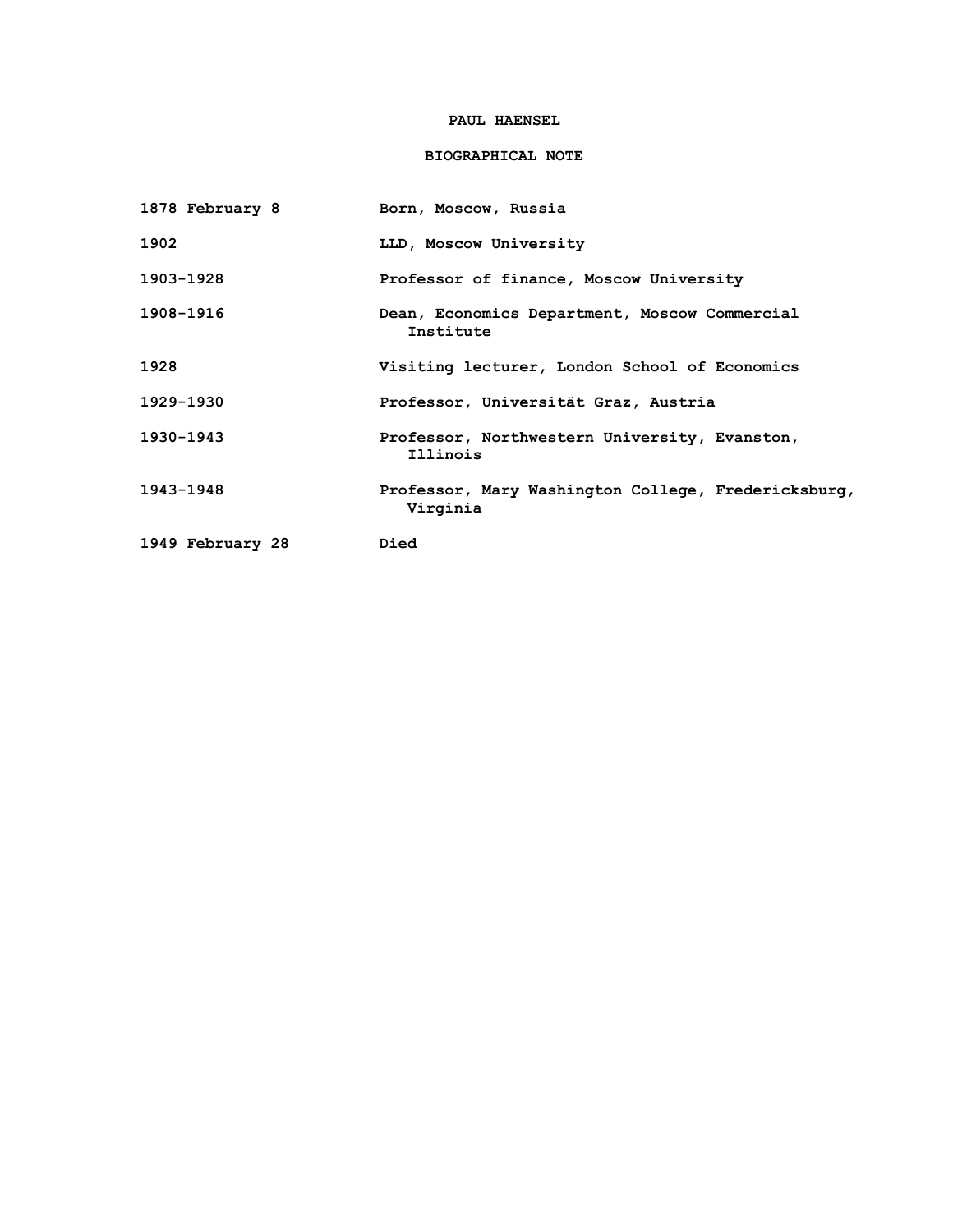## **PAUL HAENSEL**

# **BIOGRAPHICAL NOTE**

| 1878 February 8  | Born, Moscow, Russia                                            |
|------------------|-----------------------------------------------------------------|
| 1902             | LLD, Moscow University                                          |
| 1903-1928        | Professor of finance, Moscow University                         |
| 1908-1916        | Dean, Economics Department, Moscow Commercial<br>Institute      |
| 1928             | Visiting lecturer, London School of Economics                   |
| 1929-1930        | Professor, Universität Graz, Austria                            |
| 1930-1943        | Professor, Northwestern University, Evanston,<br>Illinois       |
| 1943-1948        | Professor, Mary Washington College, Fredericksburg,<br>Virginia |
| 1949 February 28 | Died                                                            |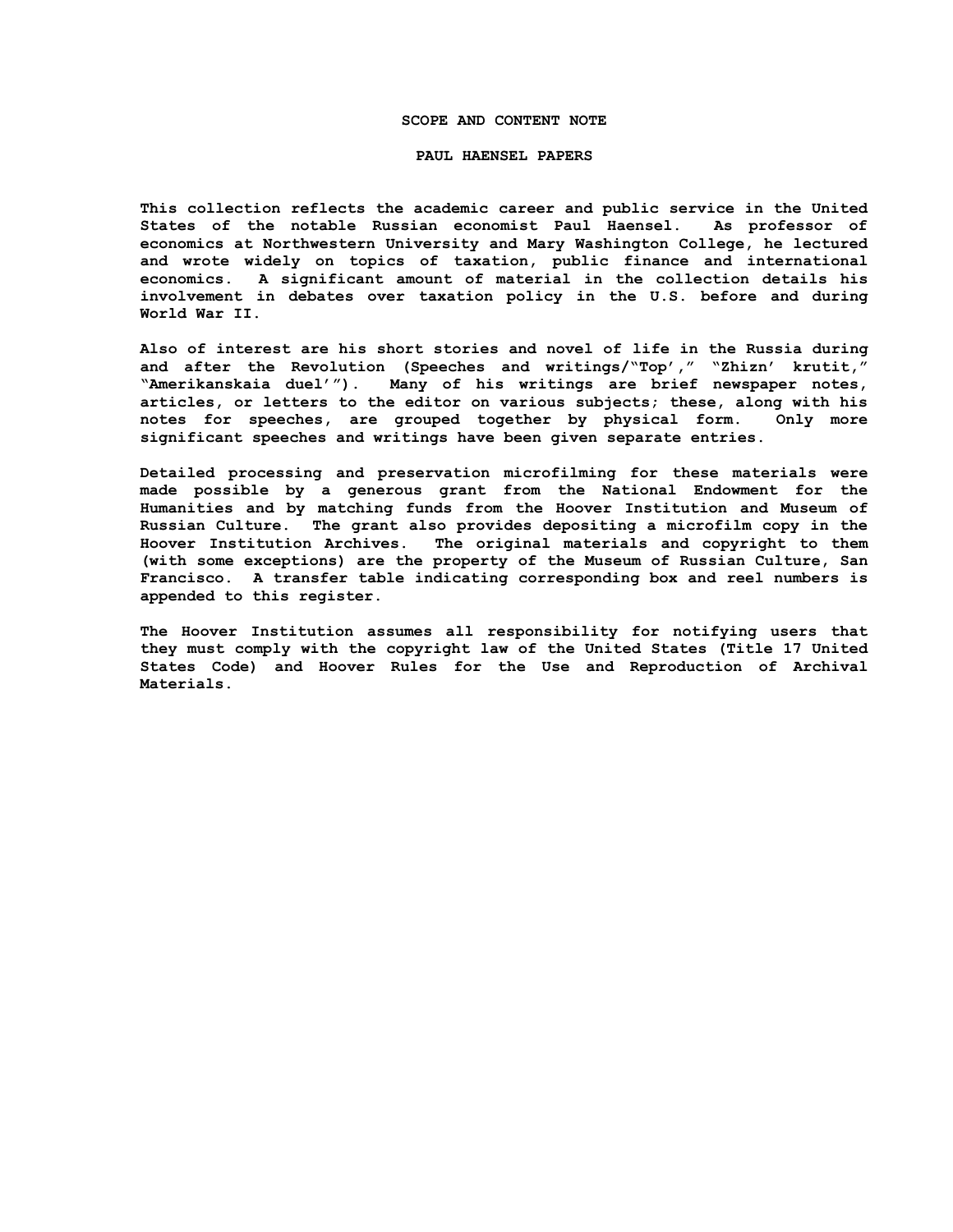### **SCOPE AND CONTENT NOTE**

#### **PAUL HAENSEL PAPERS**

**This collection reflects the academic career and public service in the United States of the notable Russian economist Paul Haensel. As professor of economics at Northwestern University and Mary Washington College, he lectured and wrote widely on topics of taxation, public finance and international economics. A significant amount of material in the collection details his involvement in debates over taxation policy in the U.S. before and during World War II.**

**Also of interest are his short stories and novel of life in the Russia during and after the Revolution (Speeches and writings/"Top'," "Zhizn' krutit," "Amerikanskaia duel'"). Many of his writings are brief newspaper notes, articles, or letters to the editor on various subjects; these, along with his notes for speeches, are grouped together by physical form. Only more significant speeches and writings have been given separate entries.**

**Detailed processing and preservation microfilming for these materials were made possible by a generous grant from the National Endowment for the Humanities and by matching funds from the Hoover Institution and Museum of Russian Culture. The grant also provides depositing a microfilm copy in the Hoover Institution Archives. The original materials and copyright to them (with some exceptions) are the property of the Museum of Russian Culture, San Francisco. A transfer table indicating corresponding box and reel numbers is appended to this register.**

**The Hoover Institution assumes all responsibility for notifying users that they must comply with the copyright law of the United States (Title 17 United States Code) and Hoover Rules for the Use and Reproduction of Archival Materials.**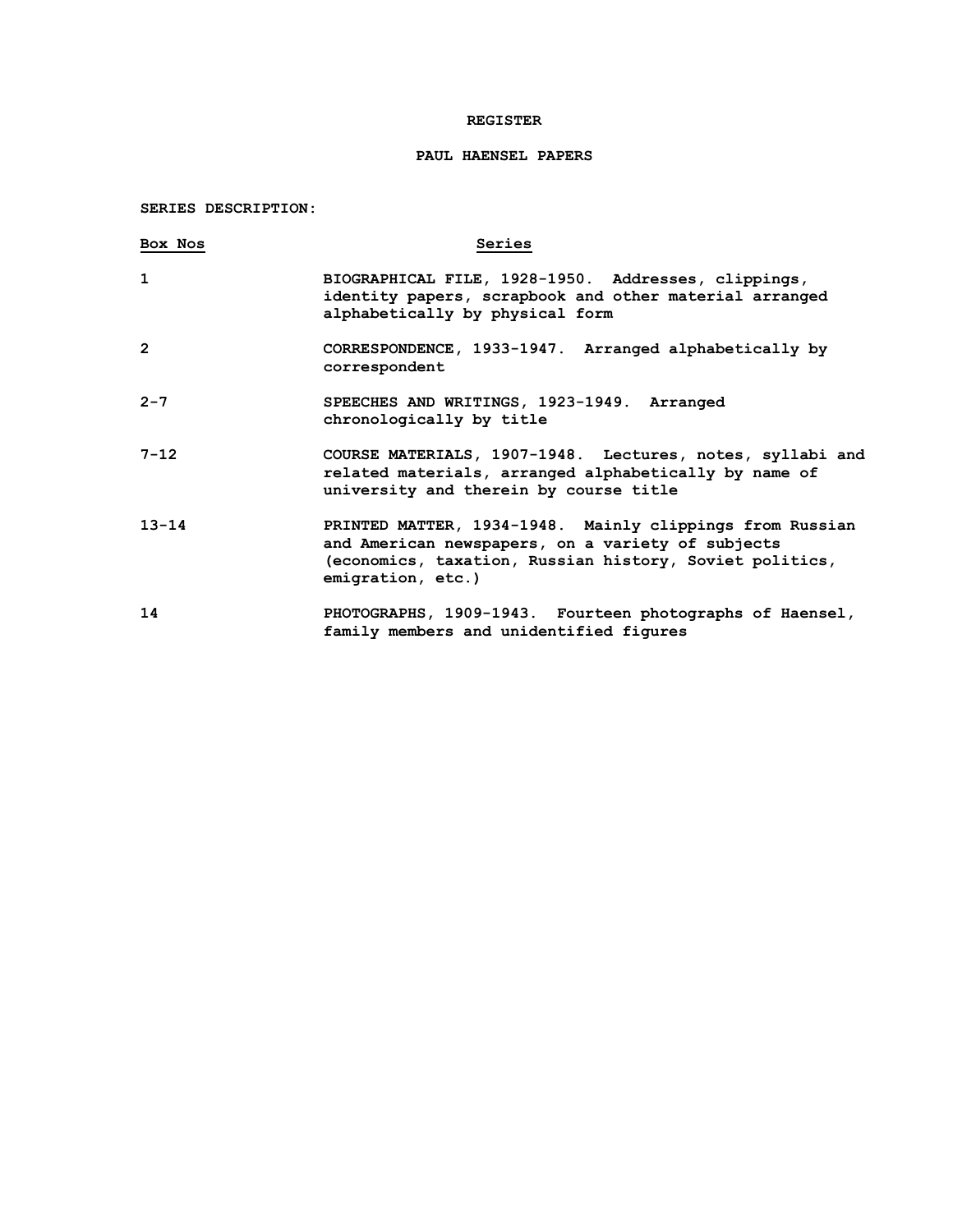## **REGISTER**

# **PAUL HAENSEL PAPERS**

**SERIES DESCRIPTION:**

| Box Nos      | Series                                                                                                                                                                                        |
|--------------|-----------------------------------------------------------------------------------------------------------------------------------------------------------------------------------------------|
| $\mathbf{1}$ | BIOGRAPHICAL FILE, 1928-1950. Addresses, clippings,<br>identity papers, scrapbook and other material arranged<br>alphabetically by physical form                                              |
| $\mathbf{2}$ | CORRESPONDENCE, 1933-1947. Arranged alphabetically by<br>correspondent                                                                                                                        |
| $2 - 7$      | SPEECHES AND WRITINGS, 1923-1949. Arranged<br>chronologically by title                                                                                                                        |
| $7 - 12$     | COURSE MATERIALS, 1907-1948. Lectures, notes, syllabi and<br>related materials, arranged alphabetically by name of<br>university and therein by course title                                  |
| $13 - 14$    | PRINTED MATTER, 1934-1948. Mainly clippings from Russian<br>and American newspapers, on a variety of subjects<br>(economics, taxation, Russian history, Soviet politics,<br>emigration, etc.) |
| 14           | PHOTOGRAPHS, 1909-1943. Fourteen photographs of Haensel,<br>family members and unidentified figures                                                                                           |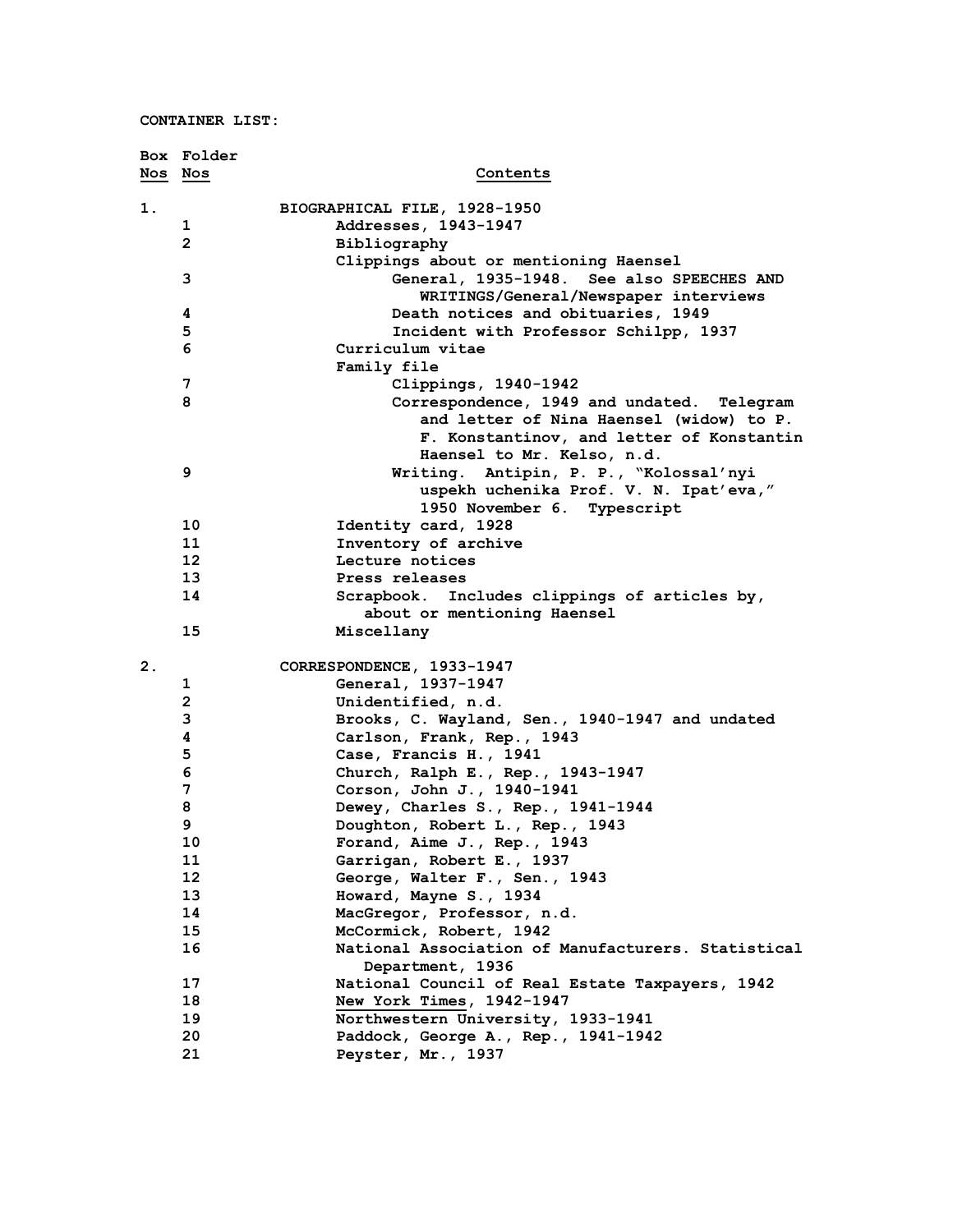**CONTAINER LIST:**

|                | Box Folder      |                                                    |
|----------------|-----------------|----------------------------------------------------|
| Nos Nos        |                 | Contents                                           |
| 1.             |                 | BIOGRAPHICAL FILE, 1928-1950                       |
|                | 1               | Addresses, 1943-1947                               |
|                | $\overline{2}$  | Bibliography                                       |
|                |                 | Clippings about or mentioning Haensel              |
|                | 3               | General, 1935-1948. See also SPEECHES AND          |
|                |                 | WRITINGS/General/Newspaper interviews              |
|                | 4               | Death notices and obituaries, 1949                 |
|                | 5               | Incident with Professor Schilpp, 1937              |
|                | 6               | Curriculum vitae                                   |
|                |                 | Family file                                        |
|                | 7               | Clippings, 1940-1942                               |
|                | 8               | Correspondence, 1949 and undated. Telegram         |
|                |                 | and letter of Nina Haensel (widow) to P.           |
|                |                 | F. Konstantinov, and letter of Konstantin          |
|                |                 | Haensel to Mr. Kelso, n.d.                         |
|                | 9               | Writing. Antipin, P. P., "Kolossal'nyi             |
|                |                 | uspekh uchenika Prof. V. N. Ipat'eva,"             |
|                |                 | 1950 November 6. Typescript                        |
|                | 10              | Identity card, 1928                                |
|                | 11              | Inventory of archive                               |
|                | 12 <sup>2</sup> | Lecture notices                                    |
|                | 13              | Press releases                                     |
|                | 14              | Scrapbook. Includes clippings of articles by,      |
|                |                 | about or mentioning Haensel                        |
|                | 15              | Miscellany                                         |
| 2 <sub>1</sub> |                 | CORRESPONDENCE, 1933-1947                          |
|                | 1               | General, 1937-1947                                 |
|                | $\overline{2}$  | Unidentified, n.d.                                 |
|                | 3               | Brooks, C. Wayland, Sen., 1940-1947 and undated    |
|                | 4               | Carlson, Frank, Rep., 1943                         |
|                | 5               | Case, Francis H., 1941                             |
|                | 6               | Church, Ralph E., Rep., 1943-1947                  |
|                | 7               | Corson, John J., 1940-1941                         |
|                | 8               | Dewey, Charles S., Rep., 1941-1944                 |
|                | 9               | Doughton, Robert L., Rep., 1943                    |
|                | 10              | Forand, Aime J., Rep., 1943                        |
|                | 11              | Garrigan, Robert E., 1937                          |
|                | 12 <sub>2</sub> | George, Walter F., Sen., 1943                      |
|                | 13              | Howard, Mayne S., 1934                             |
|                | 14              | MacGregor, Professor, n.d.                         |
|                | 15              | McCormick, Robert, 1942                            |
|                | 16              | National Association of Manufacturers. Statistical |
|                |                 | Department, 1936                                   |
|                | 17              | National Council of Real Estate Taxpayers, 1942    |
|                | 18              | New York Times, 1942-1947                          |
|                | 19              | Northwestern University, 1933-1941                 |
|                | 20              | Paddock, George A., Rep., 1941-1942                |
|                | 21              | Peyster, Mr., 1937                                 |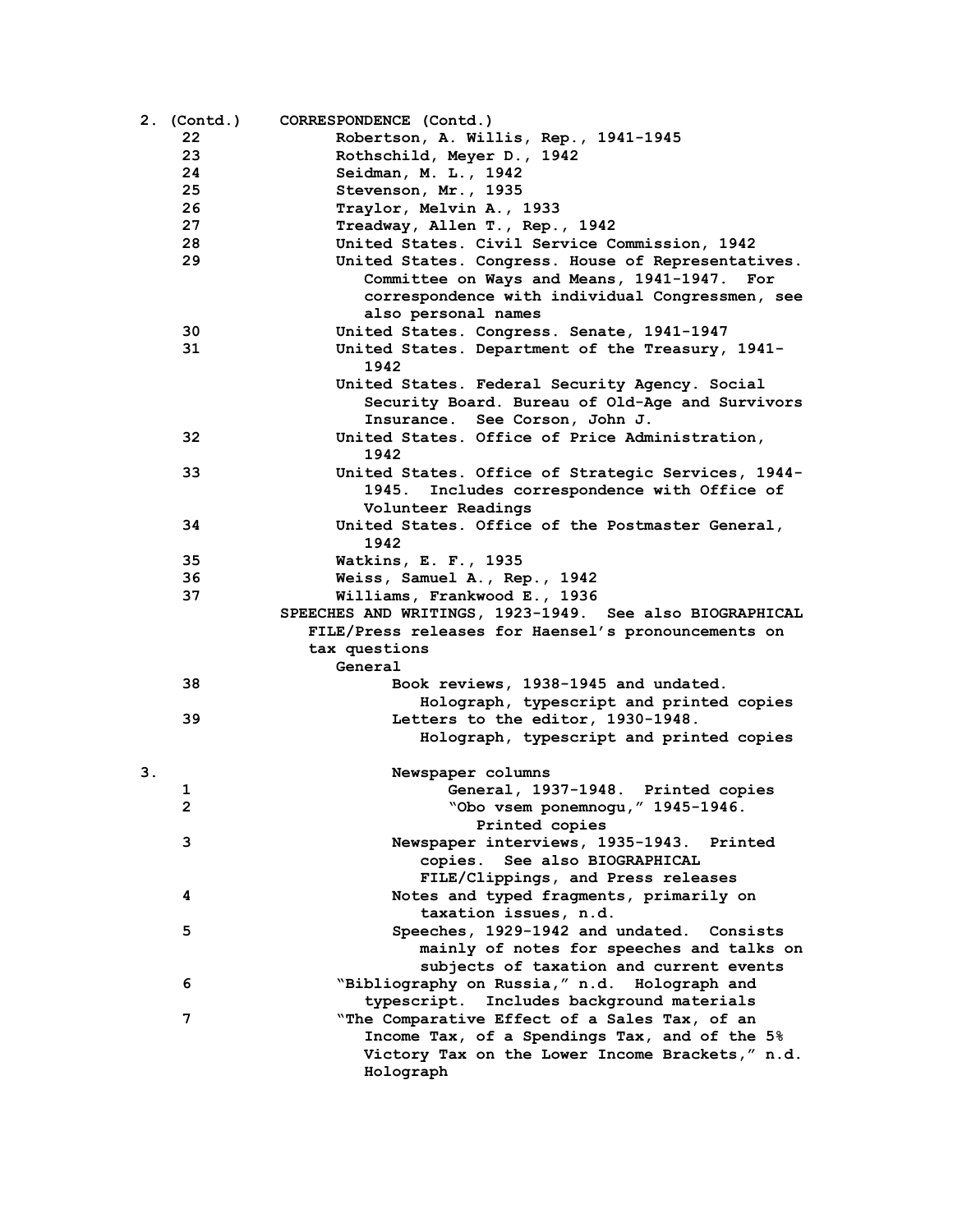|    | 2. (Contd.)    | CORRESPONDENCE (Contd.)                                 |
|----|----------------|---------------------------------------------------------|
|    | 22             | Robertson, A. Willis, Rep., 1941-1945                   |
|    | 23             | Rothschild, Meyer D., 1942                              |
|    | 24             | Seidman, M. L., 1942                                    |
|    | 25             | Stevenson, Mr., 1935                                    |
|    | 26             | Traylor, Melvin A., 1933                                |
|    | 27             | Treadway, Allen T., Rep., 1942                          |
|    | 28             | United States. Civil Service Commission, 1942           |
|    | 29             | United States. Congress. House of Representatives.      |
|    |                | Committee on Ways and Means, 1941-1947. For             |
|    |                | correspondence with individual Congressmen, see         |
|    |                | also personal names                                     |
|    | 30             | United States. Congress. Senate, 1941-1947              |
|    | 31             | United States. Department of the Treasury, 1941-        |
|    |                | 1942                                                    |
|    |                | United States. Federal Security Agency. Social          |
|    |                | Security Board. Bureau of Old-Age and Survivors         |
|    |                | Insurance. See Corson, John J.                          |
|    | 32             | United States. Office of Price Administration,          |
|    |                | 1942                                                    |
|    | 33             | United States. Office of Strategic Services, 1944-      |
|    |                | 1945.<br>Includes correspondence with Office of         |
|    |                | Volunteer Readings                                      |
|    | 34             | United States. Office of the Postmaster General,        |
|    |                | 1942                                                    |
|    | 35             | Watkins, E. F., 1935                                    |
|    | 36             | Weiss, Samuel A., Rep., 1942                            |
|    | 37             | Williams, Frankwood E., 1936                            |
|    |                | SPEECHES AND WRITINGS, 1923-1949. See also BIOGRAPHICAL |
|    |                | FILE/Press releases for Haensel's pronouncements on     |
|    |                | tax questions                                           |
|    |                | General                                                 |
|    | 38             | Book reviews, 1938-1945 and undated.                    |
|    |                | Holograph, typescript and printed copies                |
|    | 39             | Letters to the editor, 1930-1948.                       |
|    |                | Holograph, typescript and printed copies                |
|    |                |                                                         |
| 3. |                | Newspaper columns                                       |
|    | 1              | General, 1937-1948. Printed copies                      |
|    | $\overline{2}$ | "Obo vsem ponemnogu, " 1945-1946.                       |
|    |                | Printed copies                                          |
|    | 3              | Newspaper interviews, 1935-1943. Printed                |
|    |                | copies. See also BIOGRAPHICAL                           |
|    |                | FILE/Clippings, and Press releases                      |
|    | 4              | Notes and typed fragments, primarily on                 |
|    |                | taxation issues, n.d.                                   |
|    | 5              | Speeches, 1929-1942 and undated. Consists               |
|    |                | mainly of notes for speeches and talks on               |
|    |                | subjects of taxation and current events                 |
|    | 6              | "Bibliography on Russia," n.d. Holograph and            |
|    |                | typescript. Includes background materials               |
|    | 7              | "The Comparative Effect of a Sales Tax, of an           |
|    |                | Income Tax, of a Spendings Tax, and of the 5%           |
|    |                | Victory Tax on the Lower Income Brackets," n.d.         |
|    |                | Holograph                                               |
|    |                |                                                         |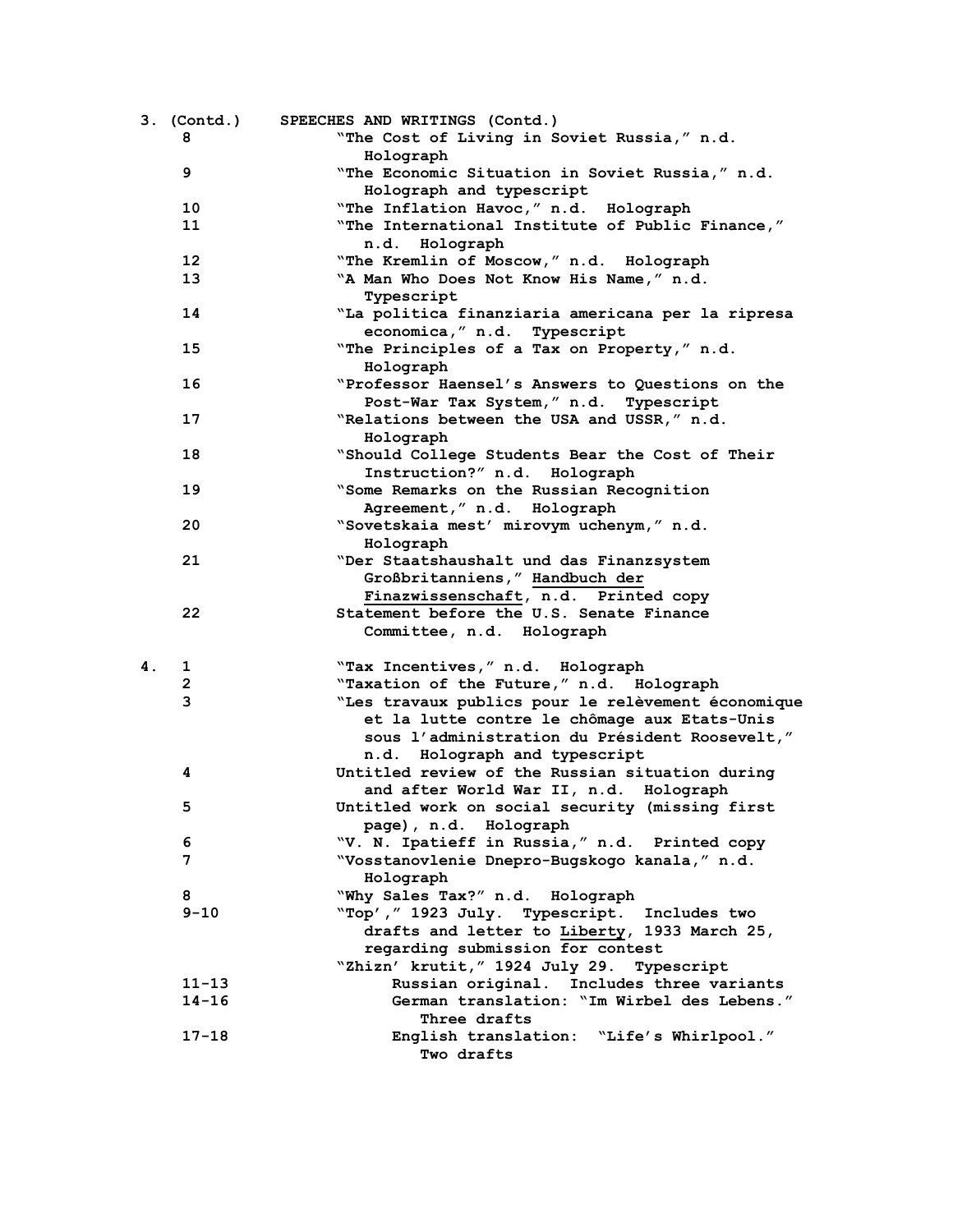|    | 3. (Contd.)  | SPEECHES AND WRITINGS (Contd.)                     |
|----|--------------|----------------------------------------------------|
|    | 8            | "The Cost of Living in Soviet Russia," n.d.        |
|    |              | Holograph                                          |
|    | 9            | "The Economic Situation in Soviet Russia," n.d.    |
|    |              | Holograph and typescript                           |
|    | 10           | "The Inflation Havoc," n.d. Holograph              |
|    | 11           | "The International Institute of Public Finance,"   |
|    |              | n.d. Holograph                                     |
|    | 12           | "The Kremlin of Moscow," n.d. Holograph            |
|    | 13           | "A Man Who Does Not Know His Name," n.d.           |
|    |              | Typescript                                         |
|    | 14           | "La politica finanziaria americana per la ripresa  |
|    |              | economica, " n.d. Typescript                       |
|    | 15           | "The Principles of a Tax on Property," n.d.        |
|    |              | Holograph                                          |
|    |              |                                                    |
|    | 16           | "Professor Haensel's Answers to Questions on the   |
|    |              | Post-War Tax System," n.d. Typescript              |
|    | 17           | "Relations between the USA and USSR," n.d.         |
|    |              | Holograph                                          |
|    | 18           | "Should College Students Bear the Cost of Their    |
|    |              | Instruction?" n.d. Holograph                       |
|    | 19           | "Some Remarks on the Russian Recognition           |
|    |              | Agreement," n.d. Holograph                         |
|    | 20           | "Sovetskaia mest' mirovym uchenym," n.d.           |
|    |              | Holograph                                          |
|    | 21           | "Der Staatshaushalt und das Finanzsystem           |
|    |              | Großbritanniens, " Handbuch der                    |
|    |              | Finazwissenschaft, n.d. Printed copy               |
|    | 22           | Statement before the U.S. Senate Finance           |
|    |              | Committee, n.d. Holograph                          |
|    |              |                                                    |
| 4. | 1            | "Tax Incentives," n.d. Holograph                   |
|    | $\mathbf{2}$ | "Taxation of the Future," n.d. Holograph           |
|    | 3            | "Les travaux publics pour le relèvement économique |
|    |              | et la lutte contre le chômage aux Etats-Unis       |
|    |              | sous l'administration du Président Roosevelt,"     |
|    |              | n.d. Holograph and typescript                      |
|    | 4            | Untitled review of the Russian situation during    |
|    |              | and after World War II, n.d. Holograph             |
|    | 5            | Untitled work on social security (missing first    |
|    |              | page), n.d. Holograph                              |
|    | 6            | "V. N. Ipatieff in Russia," n.d. Printed copy      |
|    | 7            | "Vosstanovlenie Dnepro-Bugskogo kanala," n.d.      |
|    |              | Holograph                                          |
|    | 8            |                                                    |
|    |              | "Why Sales Tax?" n.d. Holograph                    |
|    | $9 - 10$     | "Top', " 1923 July. Typescript. Includes two       |
|    |              | drafts and letter to Liberty, 1933 March 25,       |
|    |              | regarding submission for contest                   |
|    |              | "Zhizn' krutit, " 1924 July 29. Typescript         |
|    | $11 - 13$    | Russian original. Includes three variants          |
|    | $14 - 16$    | German translation: "Im Wirbel des Lebens."        |
|    |              | Three drafts                                       |
|    | 17-18        | English translation: "Life's Whirlpool."           |
|    |              | Two drafts                                         |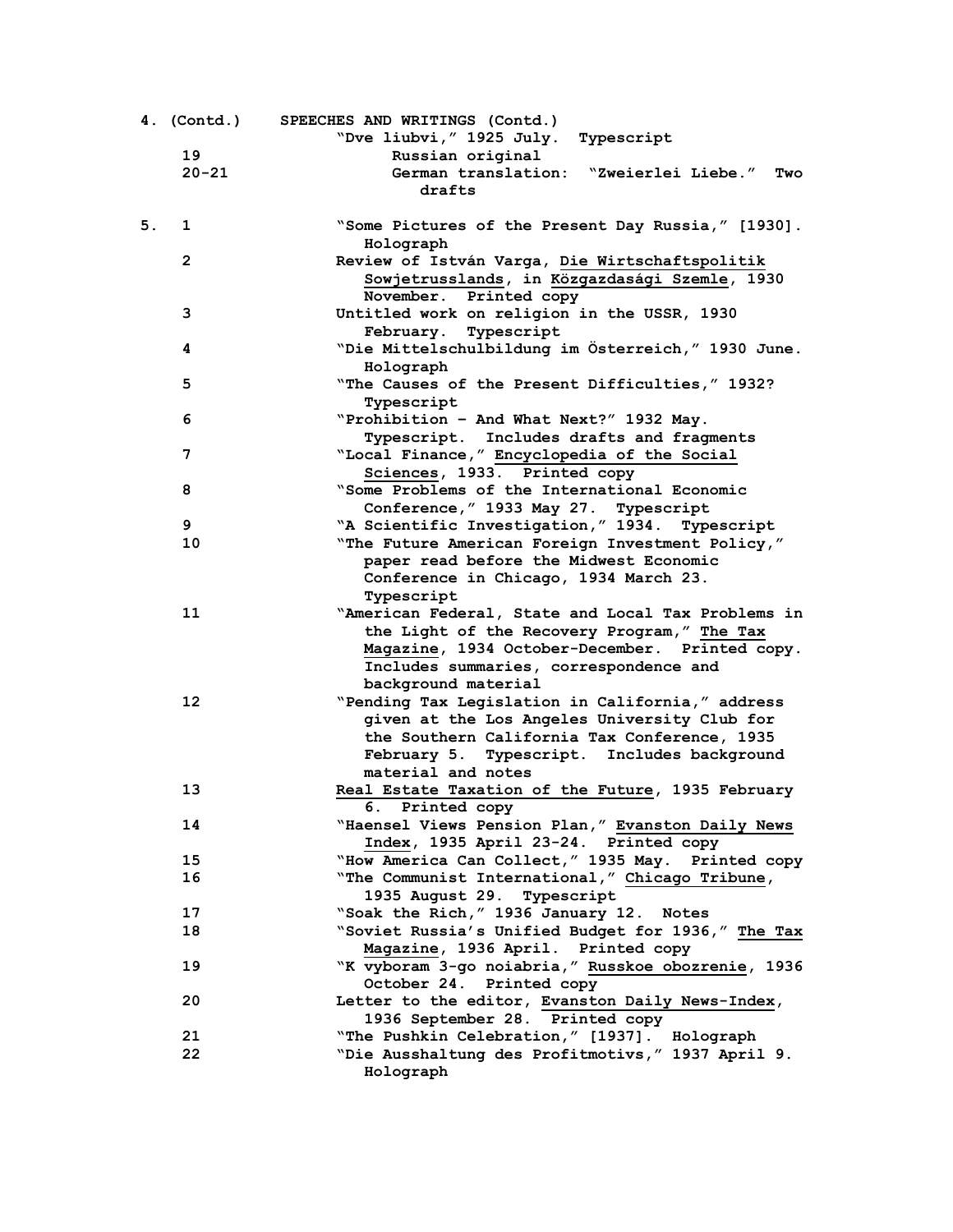|    | 4. (Contd.) | SPEECHES AND WRITINGS (Contd.)<br>"Dve liubvi, " 1925 July. Typescript                                                                                                                                                |
|----|-------------|-----------------------------------------------------------------------------------------------------------------------------------------------------------------------------------------------------------------------|
|    | 19          | Russian original                                                                                                                                                                                                      |
|    | $20 - 21$   | German translation: "Zweierlei Liebe."<br>Two<br>drafts                                                                                                                                                               |
| 5. | 1           | "Some Pictures of the Present Day Russia," [1930].<br>Holograph                                                                                                                                                       |
|    | 2           | Review of István Varga, Die Wirtschaftspolitik<br>Sowjetrusslands, in Közgazdasági Szemle, 1930                                                                                                                       |
|    | 3           | November. Printed copy<br>Untitled work on religion in the USSR, 1930<br>February. Typescript                                                                                                                         |
|    | 4           | "Die Mittelschulbildung im Österreich," 1930 June.<br>Holograph                                                                                                                                                       |
|    | 5           | "The Causes of the Present Difficulties," 1932?<br>Typescript                                                                                                                                                         |
|    | 6           | "Prohibition - And What Next?" 1932 May.<br>Typescript. Includes drafts and fragments                                                                                                                                 |
|    | 7           | "Local Finance," Encyclopedia of the Social<br>Sciences, 1933. Printed copy                                                                                                                                           |
|    | 8           | "Some Problems of the International Economic<br>Conference, " 1933 May 27. Typescript                                                                                                                                 |
|    | 9           | "A Scientific Investigation," 1934. Typescript                                                                                                                                                                        |
|    | 10          |                                                                                                                                                                                                                       |
|    |             | "The Future American Foreign Investment Policy,"<br>paper read before the Midwest Economic<br>Conference in Chicago, 1934 March 23.<br>Typescript                                                                     |
|    | 11          | "American Federal, State and Local Tax Problems in<br>the Light of the Recovery Program," The Tax<br>Magazine, 1934 October-December. Printed copy.<br>Includes summaries, correspondence and<br>background material  |
|    | 12          | "Pending Tax Legislation in California," address<br>given at the Los Angeles University Club for<br>the Southern California Tax Conference, 1935<br>February 5. Typescript. Includes background<br>material and notes |
|    | 13          | Real Estate Taxation of the Future, 1935 February<br>6. Printed copy                                                                                                                                                  |
|    | 14          | "Haensel Views Pension Plan," Evanston Daily News<br>Index, 1935 April 23-24. Printed copy                                                                                                                            |
|    | 15          | "How America Can Collect," 1935 May. Printed copy                                                                                                                                                                     |
|    | 16          | "The Communist International," Chicago Tribune,<br>1935 August 29. Typescript                                                                                                                                         |
|    | 17          | "Soak the Rich," 1936 January 12. Notes                                                                                                                                                                               |
|    | 18          | "Soviet Russia's Unified Budget for 1936," The Tax                                                                                                                                                                    |
|    | 19          | Magazine, 1936 April. Printed copy<br>"K vyboram 3-go noiabria," Russkoe obozrenie, 1936                                                                                                                              |
|    |             | October 24. Printed copy                                                                                                                                                                                              |
|    | 20          | Letter to the editor, Evanston Daily News-Index,<br>1936 September 28. Printed copy                                                                                                                                   |
|    | 21          | "The Pushkin Celebration," [1937]. Holograph                                                                                                                                                                          |
|    | 22          | "Die Ausshaltung des Profitmotivs," 1937 April 9.<br>Holograph                                                                                                                                                        |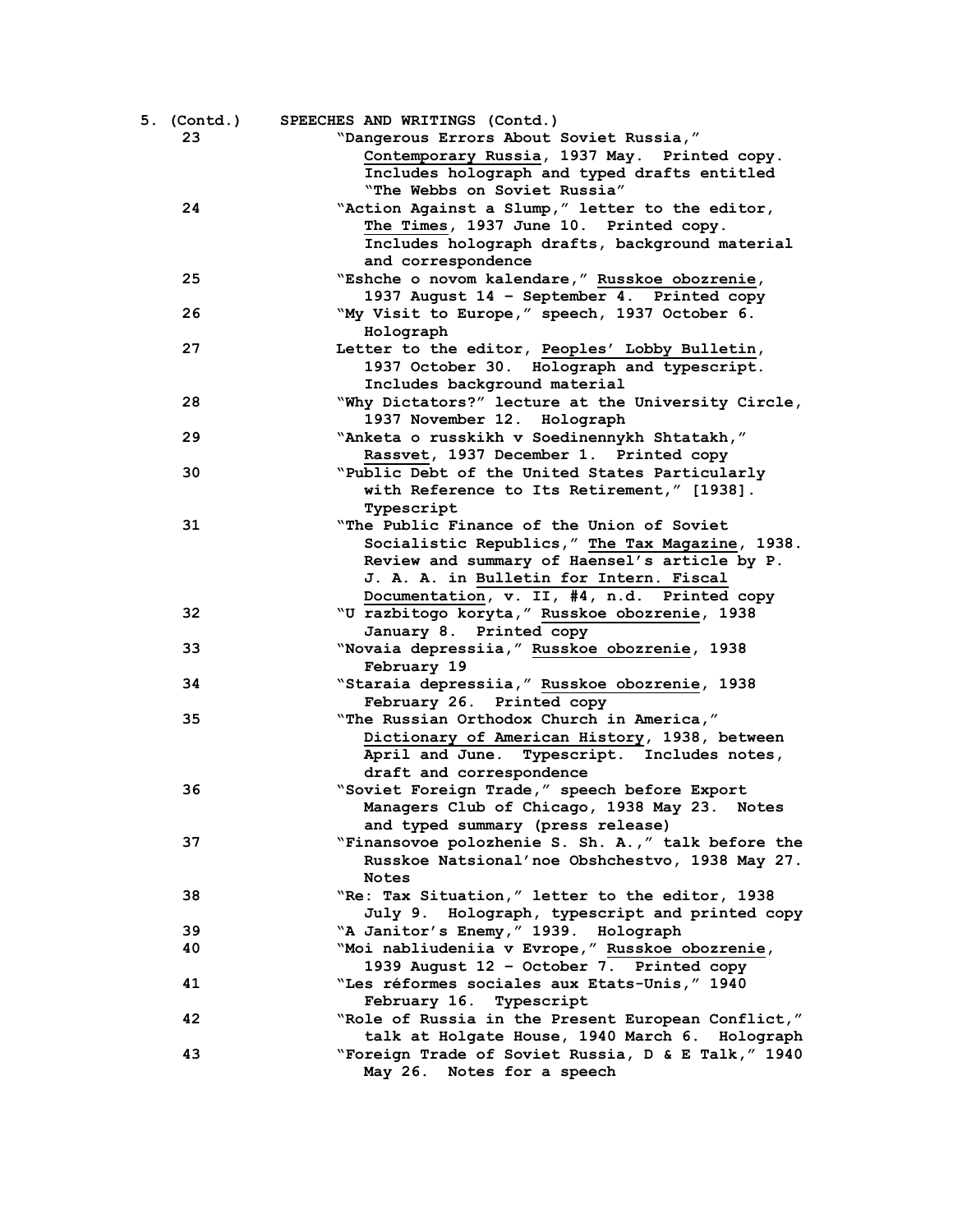| 5. (Contd.) | SPEECHES AND WRITINGS (Contd.)                     |
|-------------|----------------------------------------------------|
| 23          | "Dangerous Errors About Soviet Russia,"            |
|             | Contemporary Russia, 1937 May. Printed copy.       |
|             | Includes holograph and typed drafts entitled       |
|             | "The Webbs on Soviet Russia"                       |
| 24          | "Action Against a Slump," letter to the editor,    |
|             | The Times, 1937 June 10. Printed copy.             |
|             | Includes holograph drafts, background material     |
|             | and correspondence                                 |
| 25          | "Eshche o novom kalendare," Russkoe obozrenie,     |
|             | 1937 August 14 - September 4. Printed copy         |
| 26          | "My Visit to Europe," speech, 1937 October 6.      |
|             | Holograph                                          |
| 27          | Letter to the editor, Peoples' Lobby Bulletin,     |
|             | 1937 October 30. Holograph and typescript.         |
|             | Includes background material                       |
| 28          | "Why Dictators?" lecture at the University Circle, |
|             | 1937 November 12. Holograph                        |
| 29          | "Anketa o russkikh v Soedinennykh Shtatakh,"       |
|             | Rassvet, 1937 December 1. Printed copy             |
| 30          | "Public Debt of the United States Particularly     |
|             | with Reference to Its Retirement," [1938].         |
|             | Typescript                                         |
| 31          | "The Public Finance of the Union of Soviet         |
|             | Socialistic Republics," The Tax Magazine, 1938.    |
|             | Review and summary of Haensel's article by P.      |
|             | J. A. A. in Bulletin for Intern. Fiscal            |
|             | Documentation, v. II, #4, n.d. Printed copy        |
| 32          | "U razbitogo koryta, "Russkoe obozrenie, 1938      |
|             | January 8. Printed copy                            |
| 33          | "Novaia depressiia," Russkoe obozrenie, 1938       |
|             | February 19                                        |
| 34          | "Staraia depressiia, "Russkoe obozrenie, 1938      |
|             | February 26. Printed copy                          |
| 35          | "The Russian Orthodox Church in America,"          |
|             | Dictionary of American History, 1938, between      |
|             | April and June. Typescript. Includes notes,        |
|             | draft and correspondence                           |
| 36          | "Soviet Foreign Trade," speech before Export       |
|             | Managers Club of Chicago, 1938 May 23. Notes       |
|             | and typed summary (press release)                  |
| 37          | "Finansovoe polozhenie S. Sh. A.," talk before the |
|             | Russkoe Natsional'noe Obshchestvo, 1938 May 27.    |
|             | <b>Notes</b>                                       |
| 38          | "Re: Tax Situation," letter to the editor, 1938    |
|             | July 9. Holograph, typescript and printed copy     |
| 39          | "A Janitor's Enemy, " 1939. Holograph              |
| 40          | "Moi nabliudeniia v Evrope," Russkoe obozrenie,    |
|             | 1939 August 12 - October 7. Printed copy           |
| 41          | "Les réformes sociales aux Etats-Unis, " 1940      |
|             | February 16. Typescript                            |
| 42          | "Role of Russia in the Present European Conflict," |
|             | talk at Holgate House, 1940 March 6. Holograph     |
| 43          | "Foreign Trade of Soviet Russia, D & E Talk," 1940 |
|             | May 26. Notes for a speech                         |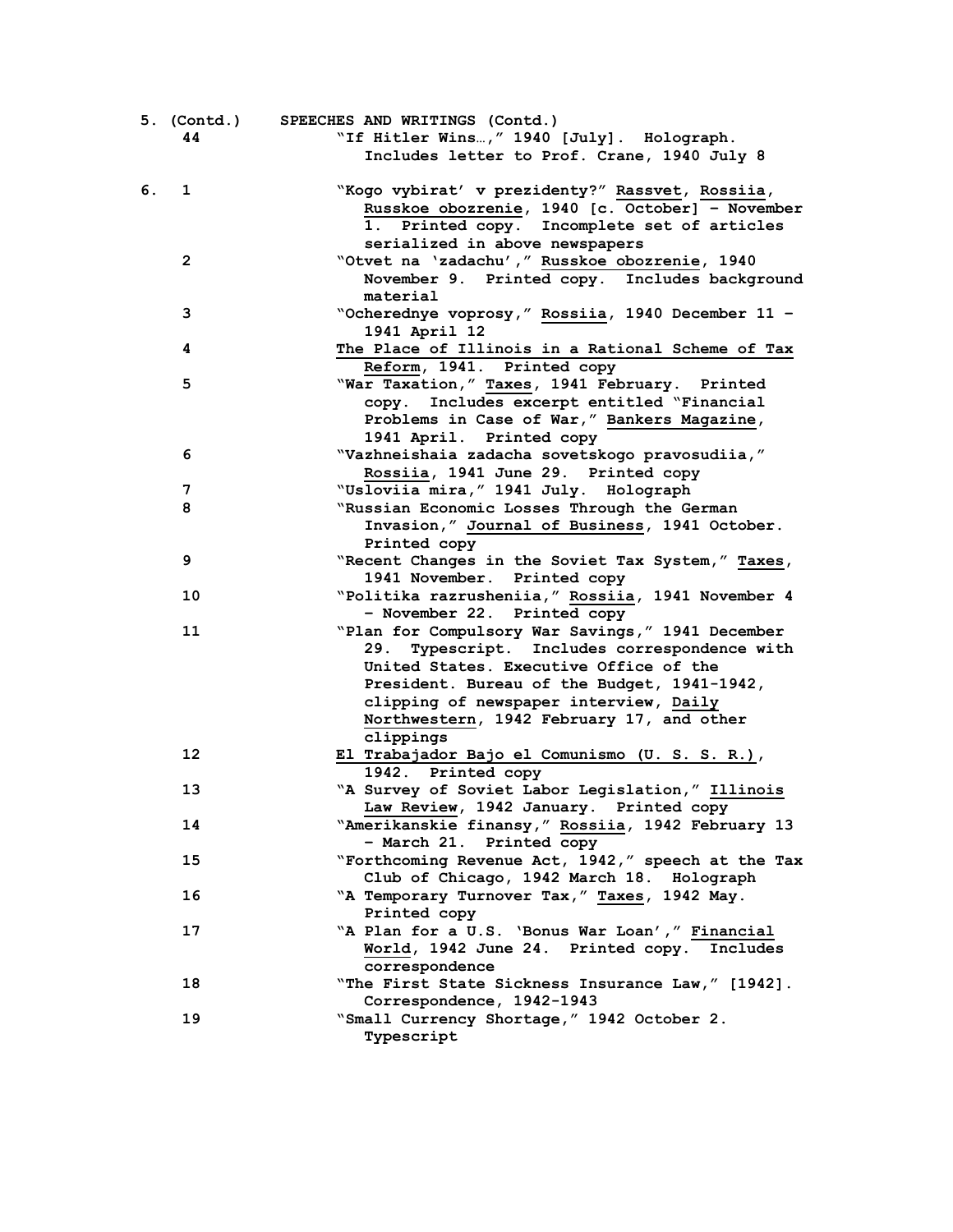| 5. (Contd.)<br>44  | SPEECHES AND WRITINGS (Contd.)<br>"If Hitler Wins, " 1940 [July]. Holograph.<br>Includes letter to Prof. Crane, 1940 July 8                                                                                                                                                                   |
|--------------------|-----------------------------------------------------------------------------------------------------------------------------------------------------------------------------------------------------------------------------------------------------------------------------------------------|
| 6.<br>$\mathbf{1}$ | "Kogo vybirat' v prezidenty?" Rassvet, Rossiia,<br>Russkoe obozrenie, 1940 [c. October] - November<br>1. Printed copy. Incomplete set of articles<br>serialized in above newspapers                                                                                                           |
| $\overline{2}$     | "Otvet na 'zadachu', " Russkoe obozrenie, 1940<br>November 9. Printed copy. Includes background<br>material                                                                                                                                                                                   |
| 3                  | "Ocherednye voprosy," Rossiia, 1940 December 11 -<br>1941 April 12                                                                                                                                                                                                                            |
| 4                  | The Place of Illinois in a Rational Scheme of Tax<br>Reform, 1941. Printed copy                                                                                                                                                                                                               |
| 5                  | "War Taxation," Taxes, 1941 February. Printed<br>copy. Includes excerpt entitled "Financial<br>Problems in Case of War," Bankers Magazine,<br>1941 April. Printed copy                                                                                                                        |
| 6                  | "Vazhneishaia zadacha sovetskogo pravosudiia,"<br>Rossiia, 1941 June 29. Printed copy                                                                                                                                                                                                         |
| 7                  | "Usloviia mira, " 1941 July. Holograph                                                                                                                                                                                                                                                        |
| 8                  | "Russian Economic Losses Through the German<br>Invasion," Journal of Business, 1941 October.<br>Printed copy                                                                                                                                                                                  |
| 9                  | "Recent Changes in the Soviet Tax System," Taxes,<br>1941 November. Printed copy                                                                                                                                                                                                              |
| 10                 | "Politika razrusheniia," Rossiia, 1941 November 4<br>- November 22. Printed copy                                                                                                                                                                                                              |
| 11                 | "Plan for Compulsory War Savings," 1941 December<br>29. Typescript. Includes correspondence with<br>United States. Executive Office of the<br>President. Bureau of the Budget, 1941-1942,<br>clipping of newspaper interview, Daily<br>Northwestern, 1942 February 17, and other<br>clippings |
| 12                 | El Trabajador Bajo el Comunismo (U. S. S. R.),<br>1942. Printed copy                                                                                                                                                                                                                          |
| 13                 | "A Survey of Soviet Labor Legislation," Illinois<br>Law Review, 1942 January. Printed copy                                                                                                                                                                                                    |
| 14                 | "Amerikanskie finansy," Rossiia, 1942 February 13<br>- March 21. Printed copy                                                                                                                                                                                                                 |
| 15                 | "Forthcoming Revenue Act, 1942," speech at the Tax<br>Club of Chicago, 1942 March 18. Holograph                                                                                                                                                                                               |
| 16                 | "A Temporary Turnover Tax," Taxes, 1942 May.<br>Printed copy                                                                                                                                                                                                                                  |
| 17                 | "A Plan for a U.S. 'Bonus War Loan'," Financial<br>World, 1942 June 24. Printed copy. Includes<br>correspondence                                                                                                                                                                              |
| 18                 | "The First State Sickness Insurance Law," [1942].<br>Correspondence, 1942-1943                                                                                                                                                                                                                |
| 19                 | "Small Currency Shortage," 1942 October 2.<br>Typescript                                                                                                                                                                                                                                      |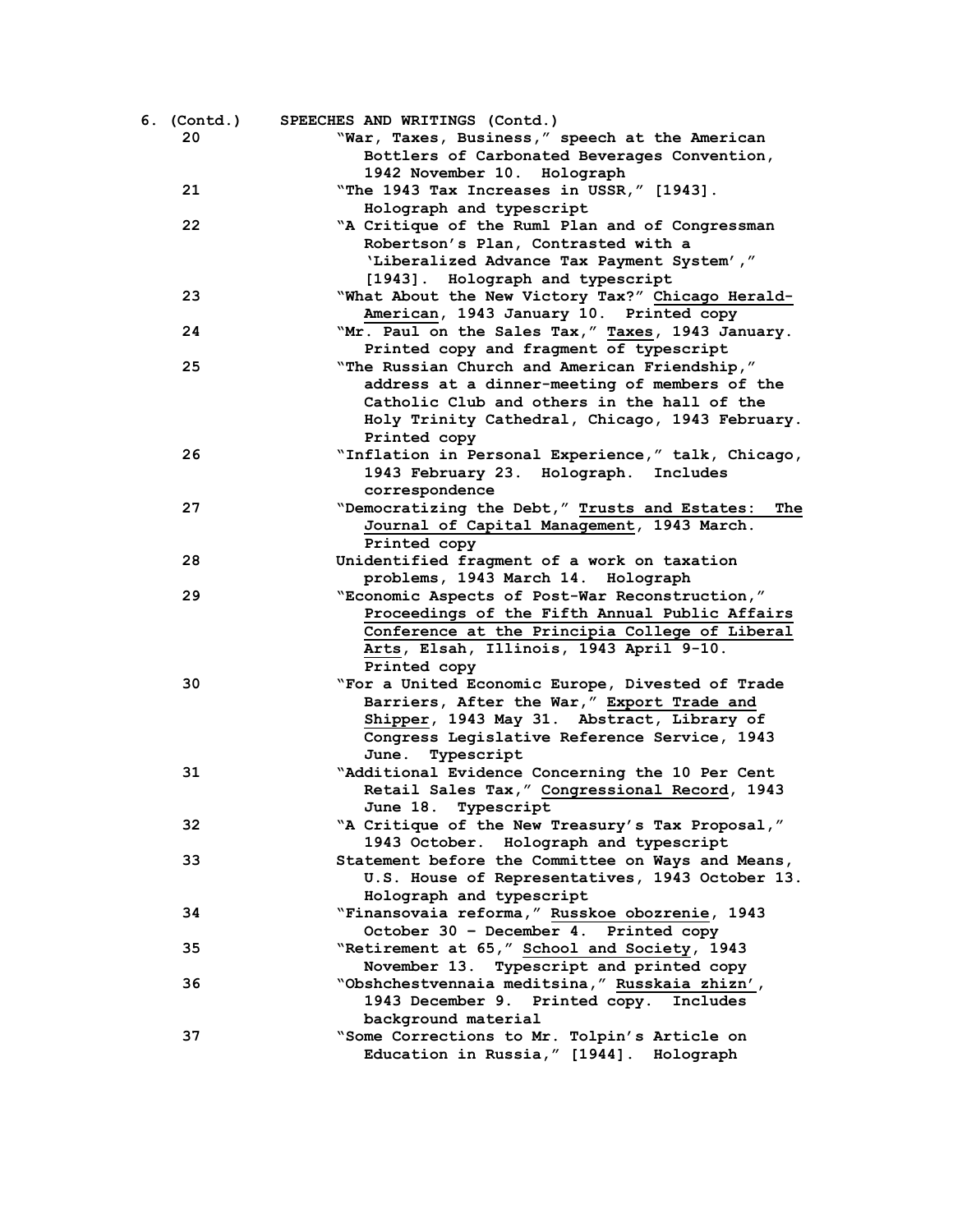| 6. (Contd.) | SPEECHES AND WRITINGS (Contd.)                       |
|-------------|------------------------------------------------------|
| 20          | "War, Taxes, Business," speech at the American       |
|             | Bottlers of Carbonated Beverages Convention,         |
|             | 1942 November 10. Holograph                          |
| 21          | "The 1943 Tax Increases in USSR," [1943].            |
|             | Holograph and typescript                             |
| 22          | "A Critique of the Ruml Plan and of Congressman      |
|             | Robertson's Plan, Contrasted with a                  |
|             | 'Liberalized Advance Tax Payment System',"           |
|             | [1943]. Holograph and typescript                     |
| 23          | "What About the New Victory Tax?" Chicago Herald-    |
|             | American, 1943 January 10. Printed copy              |
| 24          | "Mr. Paul on the Sales Tax," Taxes, 1943 January.    |
|             | Printed copy and fragment of typescript              |
| 25          | "The Russian Church and American Friendship,"        |
|             | address at a dinner-meeting of members of the        |
|             | Catholic Club and others in the hall of the          |
|             | Holy Trinity Cathedral, Chicago, 1943 February.      |
|             | Printed copy                                         |
| 26          |                                                      |
|             | "Inflation in Personal Experience," talk, Chicago,   |
|             | 1943 February 23. Holograph. Includes                |
|             | correspondence                                       |
| 27          | "Democratizing the Debt," Trusts and Estates:<br>The |
|             | Journal of Capital Management, 1943 March.           |
|             | Printed copy                                         |
| 28          | Unidentified fragment of a work on taxation          |
|             | problems, 1943 March 14. Holograph                   |
| 29          | "Economic Aspects of Post-War Reconstruction,"       |
|             | Proceedings of the Fifth Annual Public Affairs       |
|             | Conference at the Principia College of Liberal       |
|             | Arts, Elsah, Illinois, 1943 April 9-10.              |
|             | Printed copy                                         |
| 30          | "For a United Economic Europe, Divested of Trade     |
|             | Barriers, After the War," Export Trade and           |
|             | Shipper, 1943 May 31. Abstract, Library of           |
|             | Congress Legislative Reference Service, 1943         |
|             | June. Typescript                                     |
| 31          | "Additional Evidence Concerning the 10 Per Cent      |
|             | Retail Sales Tax," Congressional Record, 1943        |
|             | June 18. Typescript                                  |
| 32          | "A Critique of the New Treasury's Tax Proposal,"     |
|             | 1943 October. Holograph and typescript               |
| 33          | Statement before the Committee on Ways and Means,    |
|             | U.S. House of Representatives, 1943 October 13.      |
|             | Holograph and typescript                             |
| 34          | "Finansovaia reforma, " Russkoe obozrenie, 1943      |
|             | October 30 - December 4. Printed copy                |
| 35          | "Retirement at 65," School and Society, 1943         |
|             | November 13. Typescript and printed copy             |
| 36          | "Obshchestvennaia meditsina," Russkaia zhizn',       |
|             | 1943 December 9. Printed copy.<br>Includes           |
|             | background material                                  |
| 37          | "Some Corrections to Mr. Tolpin's Article on         |
|             | Education in Russia," [1944]. Holograph              |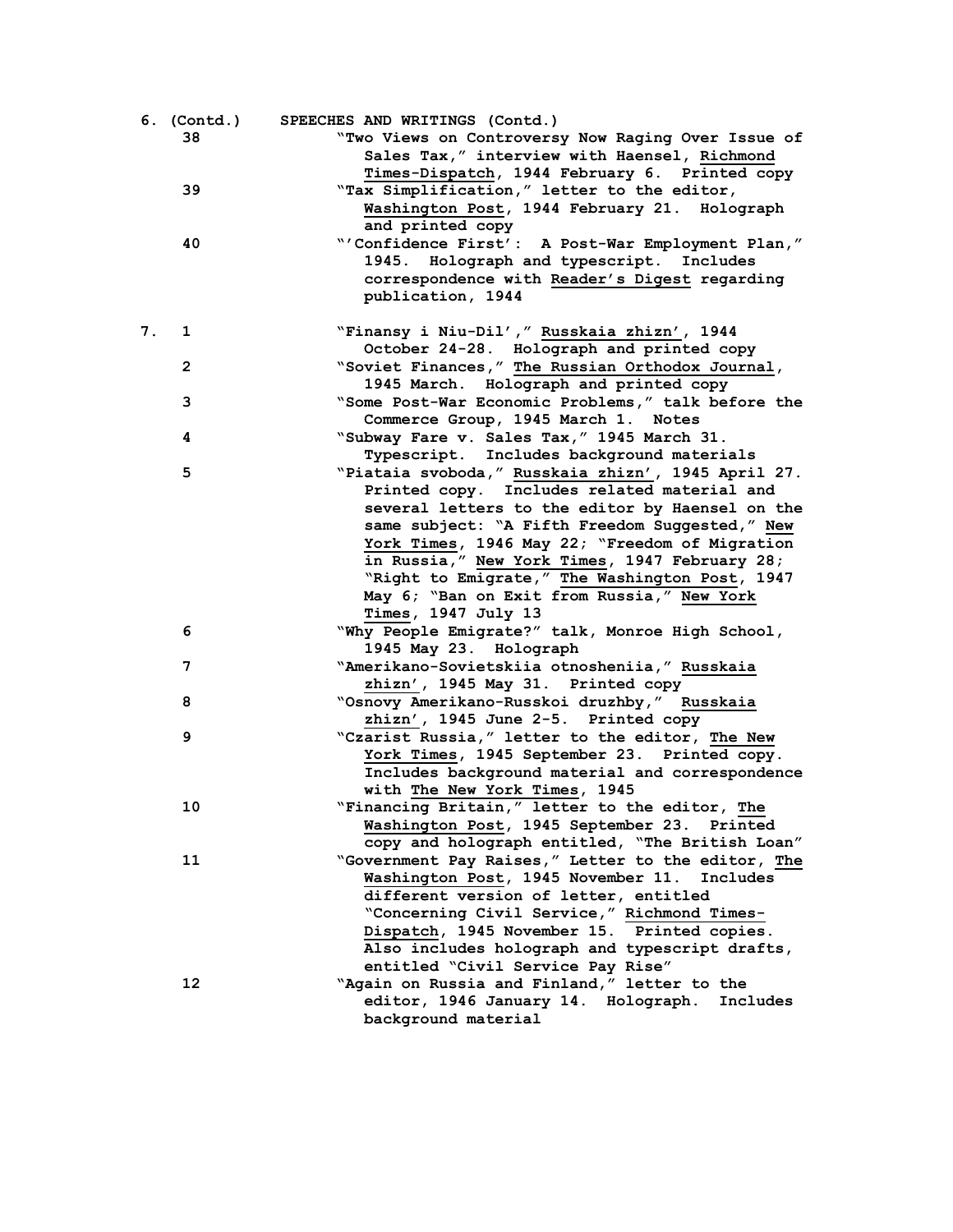|    | 6. (Contd.)  | SPEECHES AND WRITINGS (Contd.)                                                                |
|----|--------------|-----------------------------------------------------------------------------------------------|
|    | 38           | "Two Views on Controversy Now Raging Over Issue of                                            |
|    |              | Sales Tax," interview with Haensel, Richmond<br>Times-Dispatch, 1944 February 6. Printed copy |
|    | 39           | "Tax Simplification," letter to the editor,                                                   |
|    |              | Washington Post, 1944 February 21. Holograph<br>and printed copy                              |
|    | 40           | "'Confidence First': A Post-War Employment Plan,"                                             |
|    |              | 1945. Holograph and typescript. Includes                                                      |
|    |              | correspondence with Reader's Digest regarding                                                 |
|    |              | publication, 1944                                                                             |
| 7. | $\mathbf{1}$ | "Finansy i Niu-Dil'," Russkaia zhizn', 1944                                                   |
|    |              | October 24-28. Holograph and printed copy                                                     |
|    | $\mathbf{2}$ | "Soviet Finances," The Russian Orthodox Journal,<br>1945 March. Holograph and printed copy    |
|    | 3            | "Some Post-War Economic Problems," talk before the                                            |
|    |              | Commerce Group, 1945 March 1. Notes                                                           |
|    | 4            | "Subway Fare v. Sales Tax," 1945 March 31.                                                    |
|    |              | Typescript. Includes background materials                                                     |
|    | 5            | "Piataia svoboda, " Russkaia zhizn', 1945 April 27.                                           |
|    |              | Printed copy. Includes related material and                                                   |
|    |              | several letters to the editor by Haensel on the                                               |
|    |              | same subject: "A Fifth Freedom Suggested," New                                                |
|    |              | York Times, 1946 May 22; "Freedom of Migration                                                |
|    |              | in Russia," New York Times, 1947 February 28;                                                 |
|    |              | "Right to Emigrate," The Washington Post, 1947                                                |
|    |              | May 6; "Ban on Exit from Russia," New York<br>Times, 1947 July 13                             |
|    | 6            | "Why People Emigrate?" talk, Monroe High School,                                              |
|    |              | 1945 May 23. Holograph                                                                        |
|    | 7            | "Amerikano-Sovietskiia otnosheniia," Russkaia                                                 |
|    |              | zhizn', 1945 May 31. Printed copy                                                             |
|    | 8            | "Osnovy Amerikano-Russkoi druzhby," Russkaia                                                  |
|    |              | zhizn', 1945 June 2-5. Printed copy                                                           |
|    | 9            | "Czarist Russia," letter to the editor, The New                                               |
|    |              | York Times, 1945 September 23. Printed copy.                                                  |
|    |              | Includes background material and correspondence                                               |
|    |              | with The New York Times, 1945                                                                 |
|    | 10           | "Financing Britain," letter to the editor, The                                                |
|    |              | Washington Post, 1945 September 23. Printed                                                   |
|    |              | copy and holograph entitled, "The British Loan"                                               |
|    | 11           | "Government Pay Raises," Letter to the editor, The                                            |
|    |              | Washington Post, 1945 November 11. Includes                                                   |
|    |              | different version of letter, entitled                                                         |
|    |              | "Concerning Civil Service," Richmond Times-                                                   |
|    |              | Dispatch, 1945 November 15. Printed copies.<br>Also includes holograph and typescript drafts, |
|    |              | entitled "Civil Service Pay Rise"                                                             |
|    | 12           | "Again on Russia and Finland," letter to the                                                  |
|    |              | editor, 1946 January 14. Holograph.<br>Includes                                               |
|    |              | background material                                                                           |
|    |              |                                                                                               |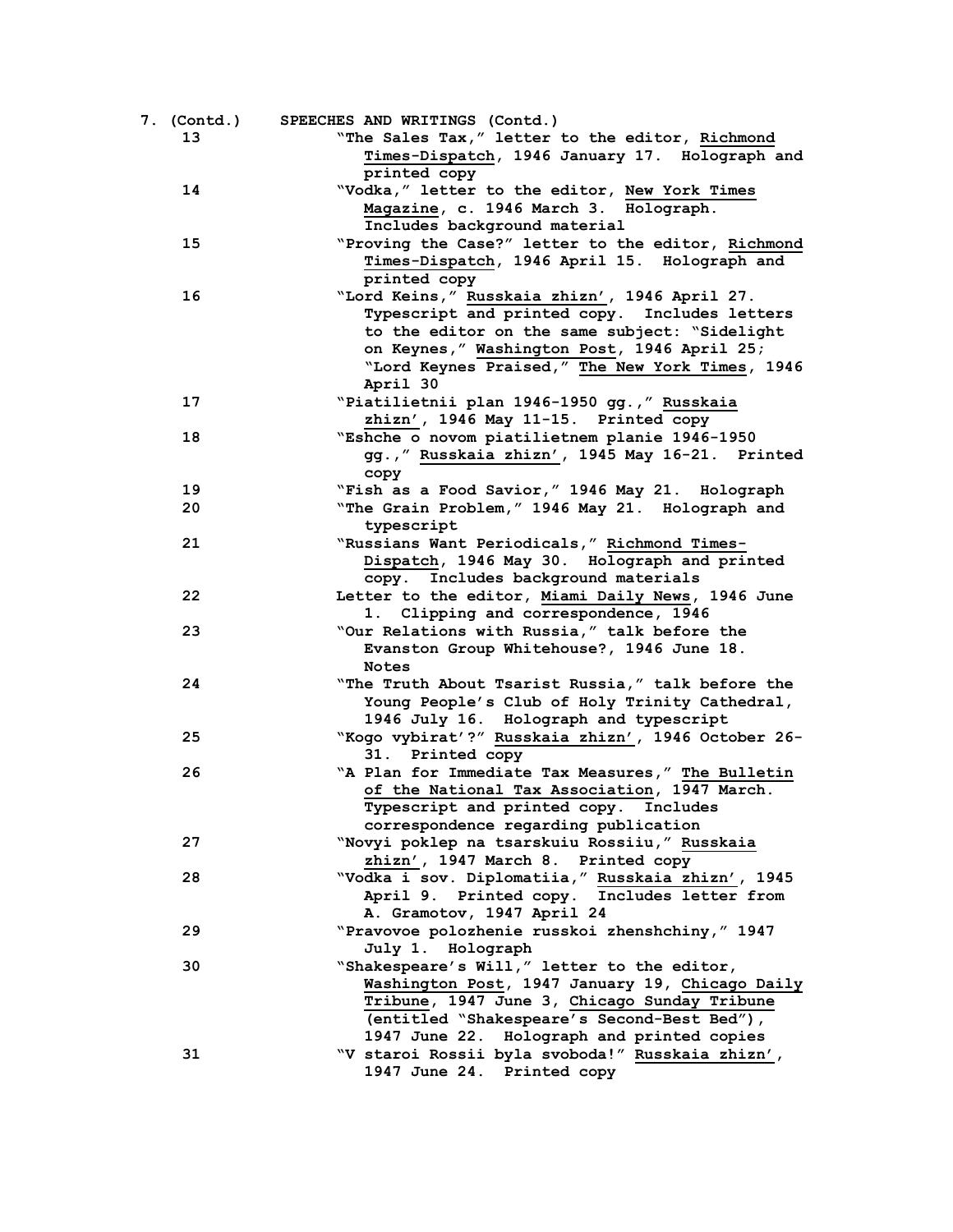| 7. (Contd.) | SPEECHES AND WRITINGS (Contd.)                                         |
|-------------|------------------------------------------------------------------------|
| 13          | "The Sales Tax," letter to the editor, Richmond                        |
|             | Times-Dispatch, 1946 January 17. Holograph and                         |
|             | printed copy                                                           |
| 14          | "Vodka," letter to the editor, New York Times                          |
|             | Magazine, c. 1946 March 3. Holograph.                                  |
|             | Includes background material                                           |
| 15          | "Proving the Case?" letter to the editor, Richmond                     |
|             | Times-Dispatch, 1946 April 15. Holograph and<br>printed copy           |
|             |                                                                        |
| 16          | "Lord Keins," Russkaia zhizn', 1946 April 27.                          |
|             | Typescript and printed copy. Includes letters                          |
|             | to the editor on the same subject: "Sidelight                          |
|             | on Keynes," Washington Post, 1946 April 25;                            |
|             | "Lord Keynes Praised," The New York Times, 1946                        |
|             | April 30                                                               |
| 17          | "Piatilietnii plan 1946-1950 gg., "Russkaia                            |
|             | zhizn', 1946 May 11-15. Printed copy                                   |
| 18          | "Eshche o novom piatilietnem planie 1946-1950                          |
|             |                                                                        |
|             | gg., "Russkaia zhizn', 1945 May 16-21. Printed                         |
|             | copy                                                                   |
| 19          | "Fish as a Food Savior," 1946 May 21. Holograph                        |
| 20          | "The Grain Problem," 1946 May 21. Holograph and                        |
|             | typescript                                                             |
| 21          | "Russians Want Periodicals," Richmond Times-                           |
|             | Dispatch, 1946 May 30. Holograph and printed                           |
|             | copy. Includes background materials                                    |
| 22          | Letter to the editor, Miami Daily News, 1946 June                      |
|             | 1. Clipping and correspondence, 1946                                   |
| 23          | "Our Relations with Russia," talk before the                           |
|             | Evanston Group Whitehouse?, 1946 June 18.                              |
|             | <b>Notes</b>                                                           |
| 24          | "The Truth About Tsarist Russia," talk before the                      |
|             | Young People's Club of Holy Trinity Cathedral,                         |
|             | 1946 July 16. Holograph and typescript                                 |
|             |                                                                        |
| 25          | "Kogo vybirat'?" Russkaia zhizn', 1946 October 26-<br>31. Printed copy |
| 26          | "A Plan for Immediate Tax Measures," The Bulletin                      |
|             | of the National Tax Association, 1947 March.                           |
|             | Typescript and printed copy. Includes                                  |
|             |                                                                        |
|             | correspondence regarding publication                                   |
| 27          | "Novyi poklep na tsarskuiu Rossiiu," Russkaia                          |
|             | zhizn', 1947 March 8. Printed copy                                     |
| 28          | "Vodka i sov. Diplomatiia," Russkaia zhizn', 1945                      |
|             | April 9. Printed copy. Includes letter from                            |
|             | A. Gramotov, 1947 April 24                                             |
| 29          | "Pravovoe polozhenie russkoi zhenshchiny, "1947                        |
|             | July 1. Holograph                                                      |
| 30          | "Shakespeare's Will," letter to the editor,                            |
|             | Washington Post, 1947 January 19, Chicago Daily                        |
|             | Tribune, 1947 June 3, Chicago Sunday Tribune                           |
|             | (entitled "Shakespeare's Second-Best Bed"),                            |
|             | 1947 June 22. Holograph and printed copies                             |
| 31          | "V staroi Rossii byla svoboda!" Russkaia zhizn',                       |
|             | 1947 June 24. Printed copy                                             |
|             |                                                                        |